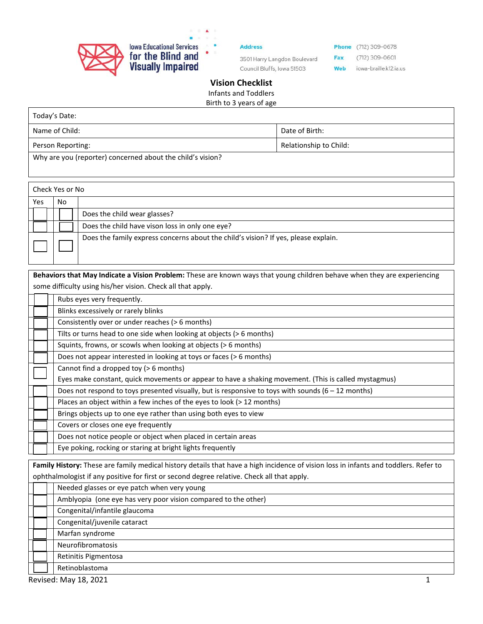

**Address** 

3501 Harry Langdon Boulevard Council Bluffs, Iowa 51503

**Phone** (712) 309-0678  $(712)$  309-0601 Fax Web iowa-braille.k12.ia.us

## **Vision Checklist**  Infants and Toddlers

Birth to 3 years of age

| Today's Date:                                              |                        |
|------------------------------------------------------------|------------------------|
| Name of Child:                                             | Date of Birth:         |
| Person Reporting:                                          | Relationship to Child: |
| Why are you (reporter) concerned about the child's vision? |                        |

| Check Yes or No |     |                                                                                    |
|-----------------|-----|------------------------------------------------------------------------------------|
| Yes             | No. |                                                                                    |
|                 |     | Does the child wear glasses?                                                       |
|                 |     | Does the child have vison loss in only one eye?                                    |
|                 |     | Does the family express concerns about the child's vision? If yes, please explain. |

**Behaviors that May Indicate a Vision Problem:** These are known ways that young children behave when they are experiencing some difficulty using his/her vision. Check all that apply.

| Rubs eyes very frequently.                                                                                                                                                                                                      |  |  |
|---------------------------------------------------------------------------------------------------------------------------------------------------------------------------------------------------------------------------------|--|--|
| Blinks excessively or rarely blinks                                                                                                                                                                                             |  |  |
| Consistently over or under reaches (> 6 months)                                                                                                                                                                                 |  |  |
| Tilts or turns head to one side when looking at objects (> 6 months)                                                                                                                                                            |  |  |
| Squints, frowns, or scowls when looking at objects (> 6 months)                                                                                                                                                                 |  |  |
| Does not appear interested in looking at toys or faces (> 6 months)                                                                                                                                                             |  |  |
| Cannot find a dropped toy (> 6 months)                                                                                                                                                                                          |  |  |
| Eyes make constant, quick movements or appear to have a shaking movement. (This is called mystagmus)                                                                                                                            |  |  |
| Does not respond to toys presented visually, but is responsive to toys with sounds (6 - 12 months)                                                                                                                              |  |  |
| Places an object within a few inches of the eyes to look (> 12 months)                                                                                                                                                          |  |  |
| Brings objects up to one eye rather than using both eyes to view                                                                                                                                                                |  |  |
| Covers or closes one eye frequently                                                                                                                                                                                             |  |  |
| Does not notice people or object when placed in certain areas                                                                                                                                                                   |  |  |
| Eye poking, rocking or staring at bright lights frequently                                                                                                                                                                      |  |  |
| Family History: These are family medical history details that have a high incidence of vision loss in infants and toddlers. Refer to<br>onthorononical if any positive for first ar second degree relative. Check all that annu |  |  |

| <b>Ophthamnologist in any positive for mist or second acgree relative. Check all that apply.</b> |                                                                |  |
|--------------------------------------------------------------------------------------------------|----------------------------------------------------------------|--|
|                                                                                                  | Needed glasses or eye patch when very young                    |  |
|                                                                                                  | Amblyopia (one eye has very poor vision compared to the other) |  |
|                                                                                                  | Congenital/infantile glaucoma                                  |  |
|                                                                                                  | Congenital/juvenile cataract                                   |  |
|                                                                                                  | Marfan syndrome                                                |  |
|                                                                                                  | Neurofibromatosis                                              |  |
|                                                                                                  | Retinitis Pigmentosa                                           |  |
|                                                                                                  | Retinoblastoma                                                 |  |
|                                                                                                  |                                                                |  |